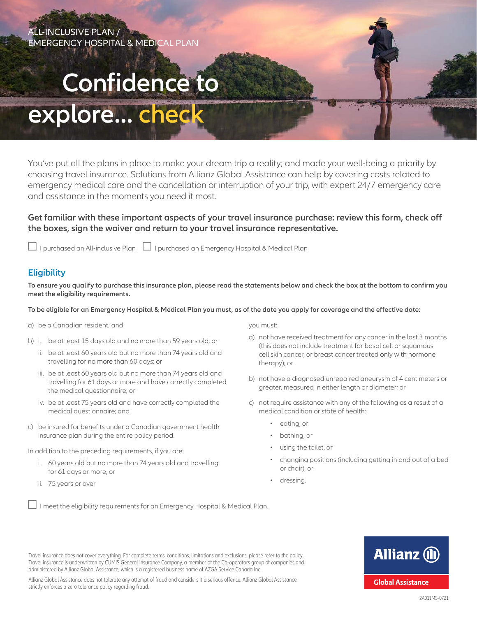## ALL-INCLUSIVE PLAN / EMERGENCY HOSPITAL & MEDICAL PLAN

# **Confidence to**

## **explore... check**

You've put all the plans in place to make your dream trip a reality; and made your well-being a priority by choosing travel insurance. Solutions from Allianz Global Assistance can help by covering costs related to emergency medical care and the cancellation or interruption of your trip, with expert 24/7 emergency care and assistance in the moments you need it most.

#### **Get familiar with these important aspects of your travel insurance purchase: review this form, check off the boxes, sign the waiver and return to your travel insurance representative.**

 $\Box$  I purchased an All-inclusive Plan  $\Box$  I purchased an Emergency Hospital & Medical Plan

### **Eligibility**

**To ensure you qualify to purchase this insurance plan, please read the statements below and check the box at the bottom to confirm you meet the eligibility requirements.** 

#### **To be eligible for an Emergency Hospital & Medical Plan you must, as of the date you apply for coverage and the effective date:**

- a) be a Canadian resident; and
- b) i. be at least 15 days old and no more than 59 years old; or
	- ii. be at least 60 years old but no more than 74 years old and travelling for no more than 60 days; or
	- iii. be at least 60 years old but no more than 74 years old and travelling for 61 days or more and have correctly completed the medical questionnaire; or
	- iv. be at least 75 years old and have correctly completed the medical questionnaire; and
- c) be insured for benefits under a Canadian government health insurance plan during the entire policy period.

In addition to the preceding requirements, if you are:

- i. 60 years old but no more than 74 years old and travelling for 61 days or more, or
- ii. 75 years or over

you must:

- a) not have received treatment for any cancer in the last 3 months (this does not include treatment for basal cell or squamous cell skin cancer, or breast cancer treated only with hormone therapy); or
- b) not have a diagnosed unrepaired aneurysm of 4 centimeters or greater, measured in either length or diameter; or
- c) not require assistance with any of the following as a result of a medical condition or state of health:
	- eating, or
	- bathing, or
	- using the toilet, or
	- changing positions (including getting in and out of a bed or chair), or
	- dressing.

 $\Box$  I meet the eligibility requirements for an Emergency Hospital & Medical Plan.

**Allianz (II) Global Assistance** 

2A011MS-0721

Travel insurance is underwritten by CUMIS General Insurance Company, a member of the Co-operators group of companies and administered by Allianz Global Assistance, which is a registered business name of AZGA Service Canada Inc. Allianz Global Assistance does not tolerate any attempt of fraud and considers it a serious offence. Allianz Global Assistance strictly enforces a zero tolerance policy regarding fraud.

Travel insurance does not cover everything. For complete terms, conditions, limitations and exclusions, please refer to the policy.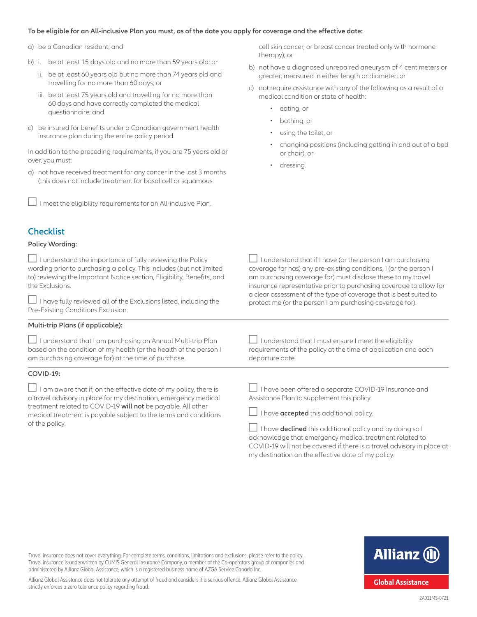#### **To be eligible for an All-inclusive Plan you must, as of the date you apply for coverage and the effective date:**

a) be a Canadian resident; and

**Checklist Policy Wording:**

- b) i. be at least 15 days old and no more than 59 years old; or
	- ii. be at least 60 years old but no more than 74 years old and travelling for no more than 60 days; or
	- iii. be at least 75 years old and travelling for no more than 60 days and have correctly completed the medical questionnaire; and
- c) be insured for benefits under a Canadian government health insurance plan during the entire policy period.

In addition to the preceding requirements, if you are 75 years old or over, you must:

a) not have received treatment for any cancer in the last 3 months (this does not include treatment for basal cell or squamous

 $\Box$  I meet the eligibility requirements for an All-inclusive Plan.

cell skin cancer, or breast cancer treated only with hormone therapy); or

- b) not have a diagnosed unrepaired aneurysm of 4 centimeters or greater, measured in either length or diameter; or
- c) not require assistance with any of the following as a result of a medical condition or state of health:
	- eating, or
	- bathing, or
	- using the toilet, or
	- changing positions (including getting in and out of a bed or chair), or
	- dressing.

| $\Box$ I understand the importance of fully reviewing the Policy<br>wording prior to purchasing a policy. This includes (but not limited<br>to) reviewing the Important Notice section, Eligibility, Benefits, and<br>the Exclusions.<br>$\Box$ I have fully reviewed all of the Exclusions listed, including the<br>Pre-Existing Conditions Exclusion. | I understand that if I have (or the person I am purchasing<br>coverage for has) any pre-existing conditions, I (or the person I<br>am purchasing coverage for) must disclose these to my travel<br>insurance representative prior to purchasing coverage to allow for<br>a clear assessment of the type of coverage that is best suited to<br>protect me (or the person I am purchasing coverage for). |
|---------------------------------------------------------------------------------------------------------------------------------------------------------------------------------------------------------------------------------------------------------------------------------------------------------------------------------------------------------|--------------------------------------------------------------------------------------------------------------------------------------------------------------------------------------------------------------------------------------------------------------------------------------------------------------------------------------------------------------------------------------------------------|
| Multi-trip Plans (if applicable):                                                                                                                                                                                                                                                                                                                       |                                                                                                                                                                                                                                                                                                                                                                                                        |
| $\Box$ I understand that I am purchasing an Annual Multi-trip Plan<br>based on the condition of my health (or the health of the person I<br>am purchasing coverage for) at the time of purchase.                                                                                                                                                        | $\Box$ I understand that I must ensure I meet the eligibility<br>requirements of the policy at the time of application and each<br>departure date.                                                                                                                                                                                                                                                     |
| COVID-19:                                                                                                                                                                                                                                                                                                                                               |                                                                                                                                                                                                                                                                                                                                                                                                        |
| $\Box$ I am aware that if, on the effective date of my policy, there is<br>a travel advisory in place for my destination, emergency medical<br>treatment related to COVID-19 will not be payable. All other<br>medical treatment is payable subject to the terms and conditions<br>of the policy.                                                       | $\Box$ I have been offered a separate COVID-19 Insurance and<br>Assistance Plan to supplement this policy.                                                                                                                                                                                                                                                                                             |
|                                                                                                                                                                                                                                                                                                                                                         | I have accepted this additional policy.                                                                                                                                                                                                                                                                                                                                                                |
|                                                                                                                                                                                                                                                                                                                                                         | I have <b>declined</b> this additional policy and by doing so I                                                                                                                                                                                                                                                                                                                                        |

I have **declined** this additional policy and by doing so I acknowledge that emergency medical treatment related to COVID-19 will not be covered if there is a travel advisory in place at my destination on the effective date of my policy.

Travel insurance does not cover everything. For complete terms, conditions, limitations and exclusions, please refer to the policy. Travel insurance is underwritten by CUMIS General Insurance Company, a member of the Co-operators group of companies and administered by Allianz Global Assistance, which is a registered business name of AZGA Service Canada Inc.



Allianz Global Assistance does not tolerate any attempt of fraud and considers it a serious offence. Allianz Global Assistance strictly enforces a zero tolerance policy regarding fraud.